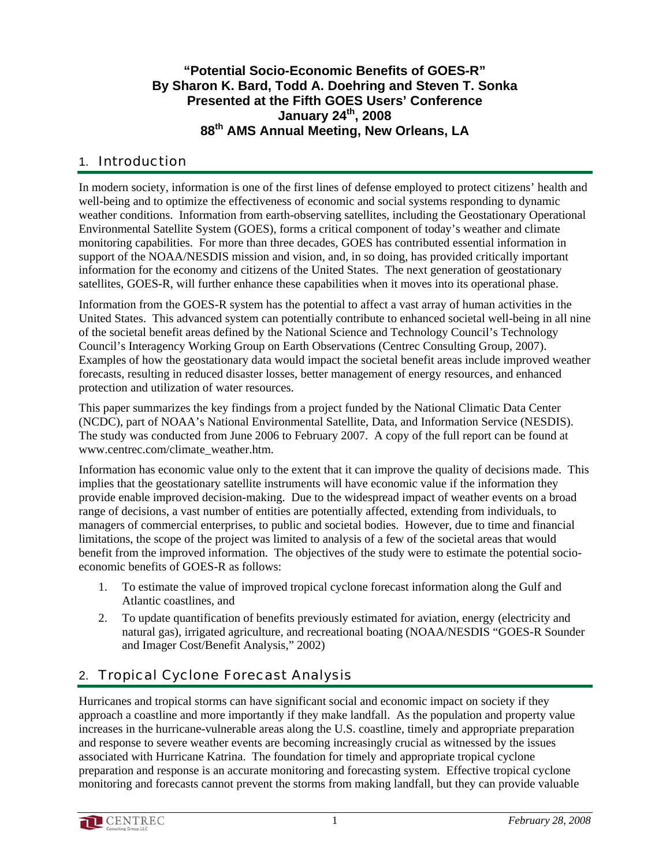### **"Potential Socio-Economic Benefits of GOES-R" By Sharon K. Bard, Todd A. Doehring and Steven T. Sonka Presented at the Fifth GOES Users' Conference January 24th, 2008 88th AMS Annual Meeting, New Orleans, LA**

### 1. Introduction

In modern society, information is one of the first lines of defense employed to protect citizens' health and well-being and to optimize the effectiveness of economic and social systems responding to dynamic weather conditions. Information from earth-observing satellites, including the Geostationary Operational Environmental Satellite System (GOES), forms a critical component of today's weather and climate monitoring capabilities. For more than three decades, GOES has contributed essential information in support of the NOAA/NESDIS mission and vision, and, in so doing, has provided critically important information for the economy and citizens of the United States. The next generation of geostationary satellites, GOES-R, will further enhance these capabilities when it moves into its operational phase.

Information from the GOES-R system has the potential to affect a vast array of human activities in the United States. This advanced system can potentially contribute to enhanced societal well-being in all nine of the societal benefit areas defined by the National Science and Technology Council's Technology Council's Interagency Working Group on Earth Observations (Centrec Consulting Group, 2007). Examples of how the geostationary data would impact the societal benefit areas include improved weather forecasts, resulting in reduced disaster losses, better management of energy resources, and enhanced protection and utilization of water resources.

This paper summarizes the key findings from a project funded by the National Climatic Data Center (NCDC), part of NOAA's National Environmental Satellite, Data, and Information Service (NESDIS). The study was conducted from June 2006 to February 2007. A copy of the full report can be found at www.centrec.com/climate\_weather.htm.

Information has economic value only to the extent that it can improve the quality of decisions made. This implies that the geostationary satellite instruments will have economic value if the information they provide enable improved decision-making. Due to the widespread impact of weather events on a broad range of decisions, a vast number of entities are potentially affected, extending from individuals, to managers of commercial enterprises, to public and societal bodies. However, due to time and financial limitations, the scope of the project was limited to analysis of a few of the societal areas that would benefit from the improved information. The objectives of the study were to estimate the potential socioeconomic benefits of GOES-R as follows:

- 1. To estimate the value of improved tropical cyclone forecast information along the Gulf and Atlantic coastlines, and
- 2. To update quantification of benefits previously estimated for aviation, energy (electricity and natural gas), irrigated agriculture, and recreational boating (NOAA/NESDIS "GOES-R Sounder and Imager Cost/Benefit Analysis," 2002)

## 2. Tropical Cyclone Forecast Analysis

Hurricanes and tropical storms can have significant social and economic impact on society if they approach a coastline and more importantly if they make landfall. As the population and property value increases in the hurricane-vulnerable areas along the U.S. coastline, timely and appropriate preparation and response to severe weather events are becoming increasingly crucial as witnessed by the issues associated with Hurricane Katrina. The foundation for timely and appropriate tropical cyclone preparation and response is an accurate monitoring and forecasting system. Effective tropical cyclone monitoring and forecasts cannot prevent the storms from making landfall, but they can provide valuable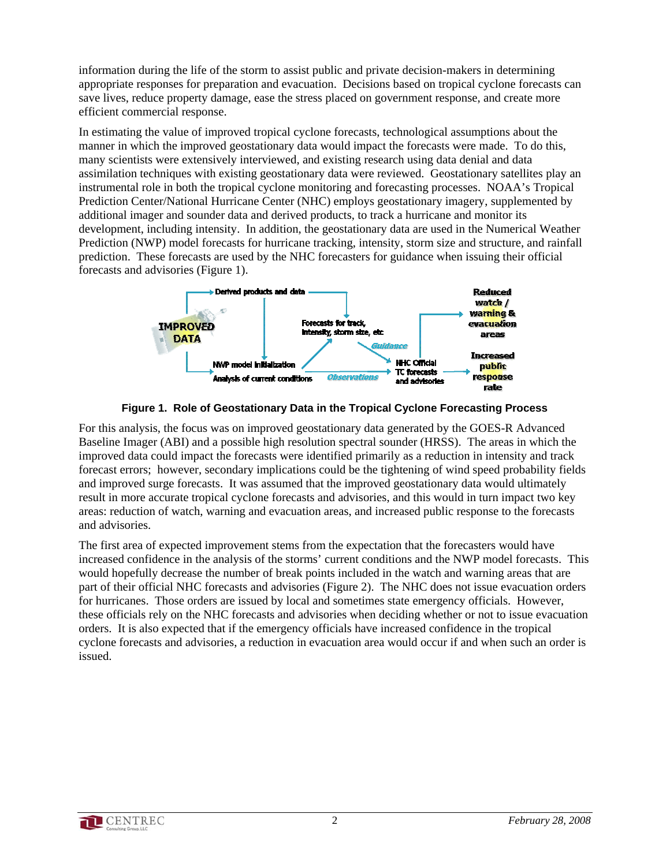information during the life of the storm to assist public and private decision-makers in determining appropriate responses for preparation and evacuation. Decisions based on tropical cyclone forecasts can save lives, reduce property damage, ease the stress placed on government response, and create more efficient commercial response.

In estimating the value of improved tropical cyclone forecasts, technological assumptions about the manner in which the improved geostationary data would impact the forecasts were made. To do this, many scientists were extensively interviewed, and existing research using data denial and data assimilation techniques with existing geostationary data were reviewed. Geostationary satellites play an instrumental role in both the tropical cyclone monitoring and forecasting processes. NOAA's Tropical Prediction Center/National Hurricane Center (NHC) employs geostationary imagery, supplemented by additional imager and sounder data and derived products, to track a hurricane and monitor its development, including intensity. In addition, the geostationary data are used in the Numerical Weather Prediction (NWP) model forecasts for hurricane tracking, intensity, storm size and structure, and rainfall prediction. These forecasts are used by the NHC forecasters for guidance when issuing their official forecasts and advisories (Figure 1).





For this analysis, the focus was on improved geostationary data generated by the GOES-R Advanced Baseline Imager (ABI) and a possible high resolution spectral sounder (HRSS). The areas in which the improved data could impact the forecasts were identified primarily as a reduction in intensity and track forecast errors; however, secondary implications could be the tightening of wind speed probability fields and improved surge forecasts. It was assumed that the improved geostationary data would ultimately result in more accurate tropical cyclone forecasts and advisories, and this would in turn impact two key areas: reduction of watch, warning and evacuation areas, and increased public response to the forecasts and advisories.

The first area of expected improvement stems from the expectation that the forecasters would have increased confidence in the analysis of the storms' current conditions and the NWP model forecasts. This would hopefully decrease the number of break points included in the watch and warning areas that are part of their official NHC forecasts and advisories (Figure 2). The NHC does not issue evacuation orders for hurricanes. Those orders are issued by local and sometimes state emergency officials. However, these officials rely on the NHC forecasts and advisories when deciding whether or not to issue evacuation orders. It is also expected that if the emergency officials have increased confidence in the tropical cyclone forecasts and advisories, a reduction in evacuation area would occur if and when such an order is issued.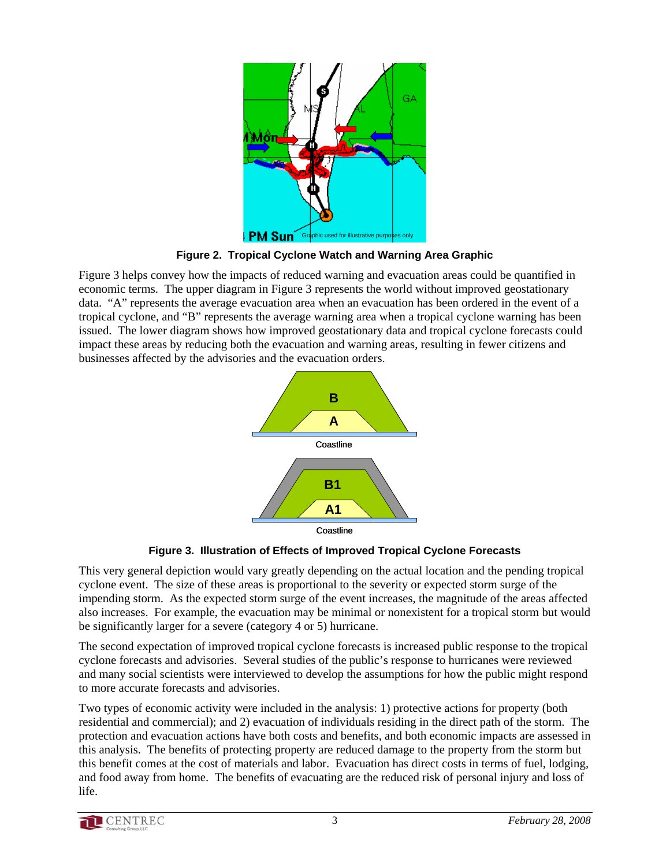

**Figure 2. Tropical Cyclone Watch and Warning Area Graphic** 

Figure 3 helps convey how the impacts of reduced warning and evacuation areas could be quantified in economic terms. The upper diagram in Figure 3 represents the world without improved geostationary data. "A" represents the average evacuation area when an evacuation has been ordered in the event of a tropical cyclone, and "B" represents the average warning area when a tropical cyclone warning has been issued. The lower diagram shows how improved geostationary data and tropical cyclone forecasts could impact these areas by reducing both the evacuation and warning areas, resulting in fewer citizens and businesses affected by the advisories and the evacuation orders.



**Figure 3. Illustration of Effects of Improved Tropical Cyclone Forecasts** 

This very general depiction would vary greatly depending on the actual location and the pending tropical cyclone event. The size of these areas is proportional to the severity or expected storm surge of the impending storm. As the expected storm surge of the event increases, the magnitude of the areas affected also increases. For example, the evacuation may be minimal or nonexistent for a tropical storm but would be significantly larger for a severe (category 4 or 5) hurricane.

The second expectation of improved tropical cyclone forecasts is increased public response to the tropical cyclone forecasts and advisories. Several studies of the public's response to hurricanes were reviewed and many social scientists were interviewed to develop the assumptions for how the public might respond to more accurate forecasts and advisories.

Two types of economic activity were included in the analysis: 1) protective actions for property (both residential and commercial); and 2) evacuation of individuals residing in the direct path of the storm. The protection and evacuation actions have both costs and benefits, and both economic impacts are assessed in this analysis. The benefits of protecting property are reduced damage to the property from the storm but this benefit comes at the cost of materials and labor. Evacuation has direct costs in terms of fuel, lodging, and food away from home. The benefits of evacuating are the reduced risk of personal injury and loss of life.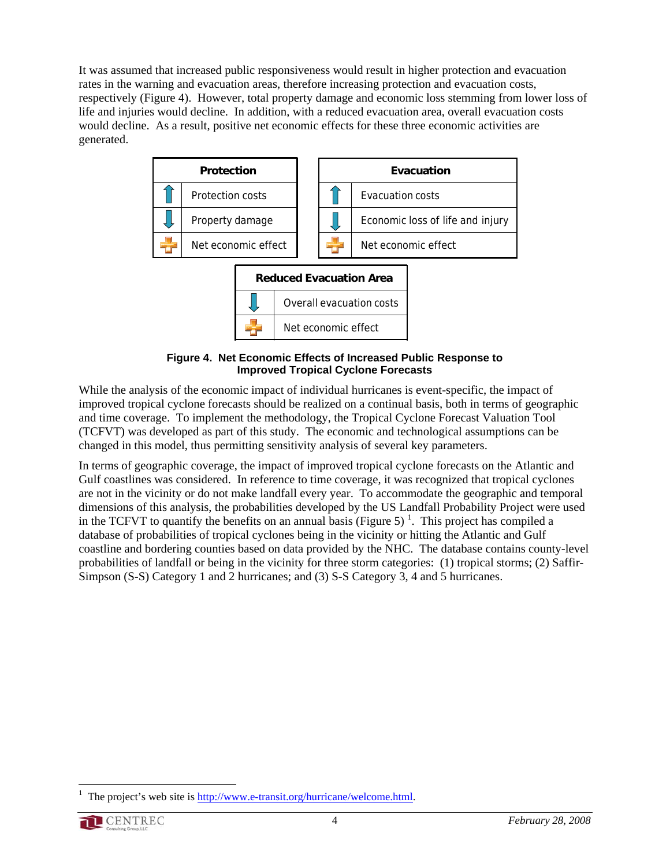It was assumed that increased public responsiveness would result in higher protection and evacuation rates in the warning and evacuation areas, therefore increasing protection and evacuation costs, respectively (Figure 4). However, total property damage and economic loss stemming from lower loss of life and injuries would decline. In addition, with a reduced evacuation area, overall evacuation costs would decline. As a result, positive net economic effects for these three economic activities are generated.



**Figure 4. Net Economic Effects of Increased Public Response to Improved Tropical Cyclone Forecasts**

While the analysis of the economic impact of individual hurricanes is event-specific, the impact of improved tropical cyclone forecasts should be realized on a continual basis, both in terms of geographic and time coverage. To implement the methodology, the Tropical Cyclone Forecast Valuation Tool (TCFVT) was developed as part of this study. The economic and technological assumptions can be changed in this model, thus permitting sensitivity analysis of several key parameters.

In terms of geographic coverage, the impact of improved tropical cyclone forecasts on the Atlantic and Gulf coastlines was considered. In reference to time coverage, it was recognized that tropical cyclones are not in the vicinity or do not make landfall every year. To accommodate the geographic and temporal dimensions of this analysis, the probabilities developed by the US Landfall Probability Project were used in the TCFVT to quantify the benefits on an annual basis (Figure 5)<sup>1</sup>. This project has compiled a database of probabilities of tropical cyclones being in the vicinity or hitting the Atlantic and Gulf coastline and bordering counties based on data provided by the NHC. The database contains county-level probabilities of landfall or being in the vicinity for three storm categories: (1) tropical storms; (2) Saffir-Simpson (S-S) Category 1 and 2 hurricanes; and (3) S-S Category 3, 4 and 5 hurricanes.

 $\overline{a}$ 1 The project's web site is http://www.e-transit.org/hurricane/welcome.html.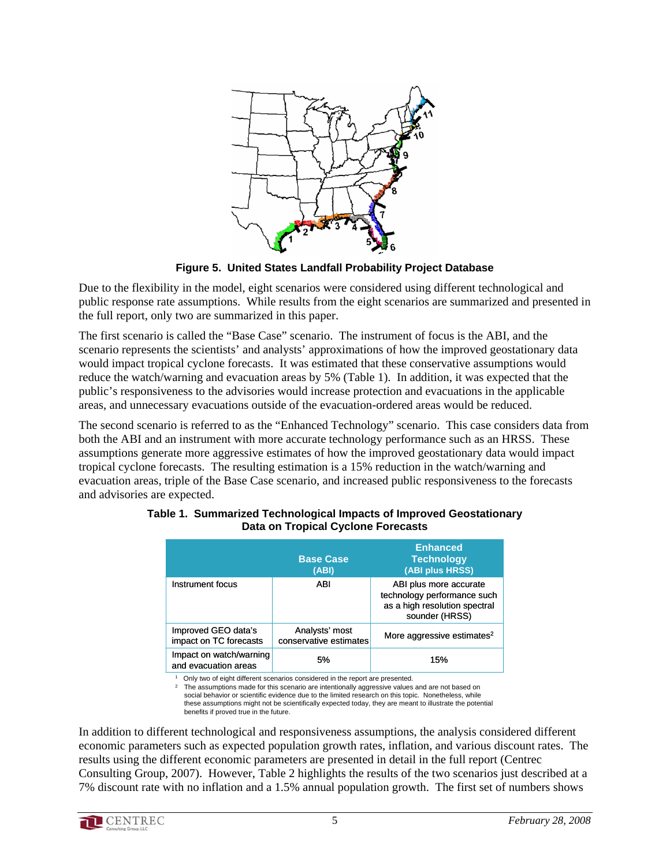

**Figure 5. United States Landfall Probability Project Database**

Due to the flexibility in the model, eight scenarios were considered using different technological and public response rate assumptions. While results from the eight scenarios are summarized and presented in the full report, only two are summarized in this paper.

The first scenario is called the "Base Case" scenario. The instrument of focus is the ABI, and the scenario represents the scientists' and analysts' approximations of how the improved geostationary data would impact tropical cyclone forecasts. It was estimated that these conservative assumptions would reduce the watch/warning and evacuation areas by 5% (Table 1). In addition, it was expected that the public's responsiveness to the advisories would increase protection and evacuations in the applicable areas, and unnecessary evacuations outside of the evacuation-ordered areas would be reduced.

The second scenario is referred to as the "Enhanced Technology" scenario. This case considers data from both the ABI and an instrument with more accurate technology performance such as an HRSS. These assumptions generate more aggressive estimates of how the improved geostationary data would impact tropical cyclone forecasts. The resulting estimation is a 15% reduction in the watch/warning and evacuation areas, triple of the Base Case scenario, and increased public responsiveness to the forecasts and advisories are expected.

|                                                 | <b>Base Case</b><br>(ABI)                | <b>Enhanced</b><br><b>Technology</b><br>(ABI plus HRSS)                                                  |  |
|-------------------------------------------------|------------------------------------------|----------------------------------------------------------------------------------------------------------|--|
| Instrument focus                                | ABI                                      | ABI plus more accurate<br>technology performance such<br>as a high resolution spectral<br>sounder (HRSS) |  |
| Improved GEO data's<br>impact on TC forecasts   | Analysts' most<br>conservative estimates | More aggressive estimates <sup>2</sup>                                                                   |  |
| Impact on watch/warning<br>and evacuation areas | 5%                                       | 15%                                                                                                      |  |

#### **Table 1. Summarized Technological Impacts of Improved Geostationary Data on Tropical Cyclone Forecasts**

Only two of eight different scenarios considered in the report are presented.

The assumptions made for this scenario are intentionally aggressive values and are not based on social behavior or scientific evidence due to the limited research on this topic. Nonetheless, while these assumptions might not be scientifically expected today, they are meant to illustrate the potential benefits if proved true in the future.

In addition to different technological and responsiveness assumptions, the analysis considered different economic parameters such as expected population growth rates, inflation, and various discount rates. The results using the different economic parameters are presented in detail in the full report (Centrec Consulting Group, 2007). However, Table 2 highlights the results of the two scenarios just described at a 7% discount rate with no inflation and a 1.5% annual population growth. The first set of numbers shows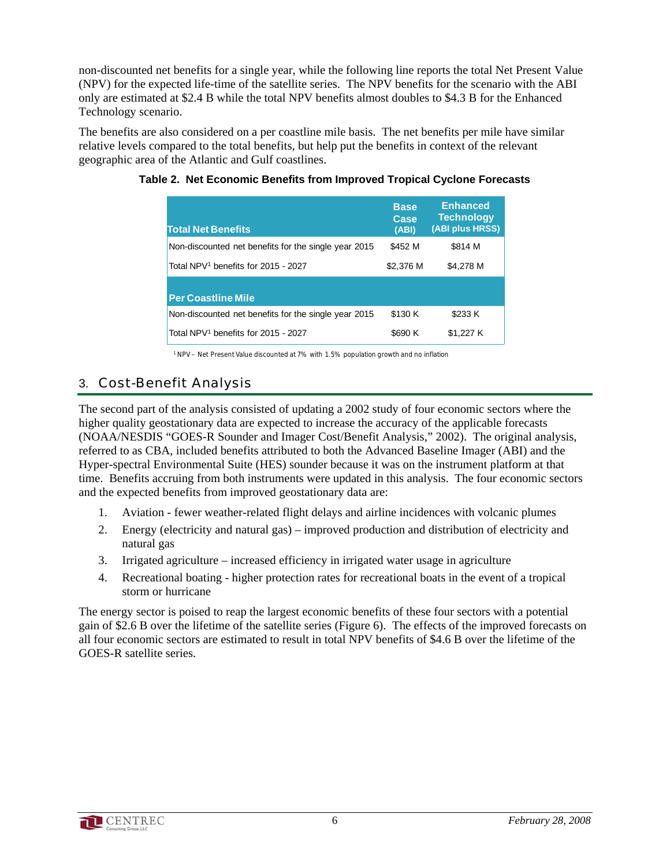non-discounted net benefits for a single year, while the following line reports the total Net Present Value (NPV) for the expected life-time of the satellite series. The NPV benefits for the scenario with the ABI only are estimated at \$2.4 B while the total NPV benefits almost doubles to \$4.3 B for the Enhanced Technology scenario.

The benefits are also considered on a per coastline mile basis. The net benefits per mile have similar relative levels compared to the total benefits, but help put the benefits in context of the relevant geographic area of the Atlantic and Gulf coastlines.

| <b>Total Net Benefits</b>                            | <b>Base</b><br>Case<br>(ABI) | <b>Enhanced</b><br><b>Technology</b><br>(ABI plus HRSS) |
|------------------------------------------------------|------------------------------|---------------------------------------------------------|
| Non-discounted net benefits for the single year 2015 | \$452 M                      | \$814 M                                                 |
| Total NPV <sup>1</sup> benefits for 2015 - 2027      | \$2,376 M                    | \$4,278 M                                               |
| <b>Per Coastline Mile</b>                            |                              |                                                         |
| Non-discounted net benefits for the single year 2015 | \$130 K                      | \$233 K                                                 |
| Total NPV <sup>1</sup> benefits for 2015 - 2027      | \$690 K                      | \$1.227 K                                               |

#### **Table 2. Net Economic Benefits from Improved Tropical Cyclone Forecasts**

1 NPV – Net Present Value discounted at 7% with 1.5% population growth and no inflation

## 3. Cost-Benefit Analysis

The second part of the analysis consisted of updating a 2002 study of four economic sectors where the higher quality geostationary data are expected to increase the accuracy of the applicable forecasts (NOAA/NESDIS "GOES-R Sounder and Imager Cost/Benefit Analysis," 2002). The original analysis, referred to as CBA, included benefits attributed to both the Advanced Baseline Imager (ABI) and the Hyper-spectral Environmental Suite (HES) sounder because it was on the instrument platform at that time. Benefits accruing from both instruments were updated in this analysis. The four economic sectors and the expected benefits from improved geostationary data are:

- 1. Aviation fewer weather-related flight delays and airline incidences with volcanic plumes
- 2. Energy (electricity and natural gas) improved production and distribution of electricity and natural gas
- 3. Irrigated agriculture increased efficiency in irrigated water usage in agriculture
- 4. Recreational boating higher protection rates for recreational boats in the event of a tropical storm or hurricane

The energy sector is poised to reap the largest economic benefits of these four sectors with a potential gain of \$2.6 B over the lifetime of the satellite series (Figure 6). The effects of the improved forecasts on all four economic sectors are estimated to result in total NPV benefits of \$4.6 B over the lifetime of the GOES-R satellite series.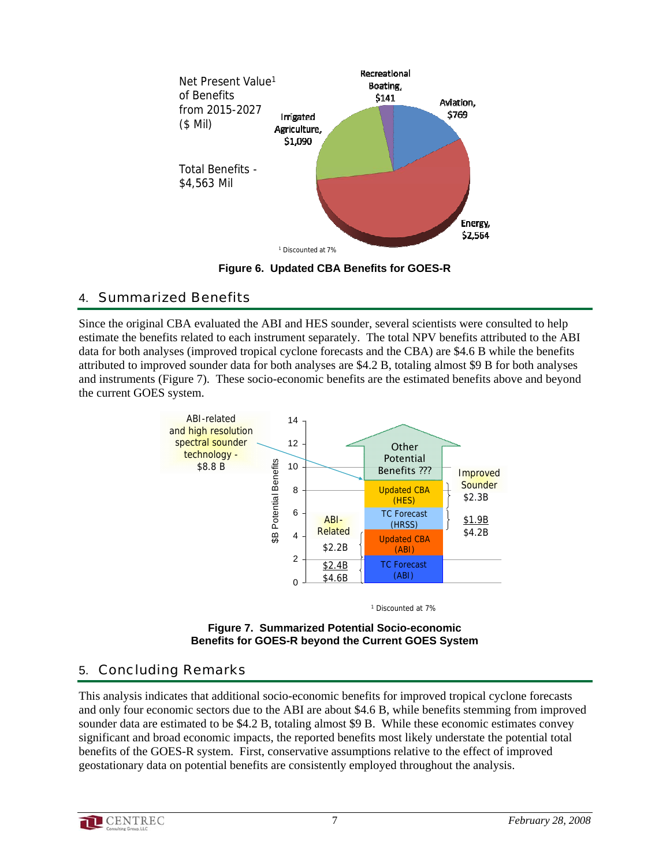

**Figure 6. Updated CBA Benefits for GOES-R**

## 4. Summarized Benefits

Since the original CBA evaluated the ABI and HES sounder, several scientists were consulted to help estimate the benefits related to each instrument separately. The total NPV benefits attributed to the ABI data for both analyses (improved tropical cyclone forecasts and the CBA) are \$4.6 B while the benefits attributed to improved sounder data for both analyses are \$4.2 B, totaling almost \$9 B for both analyses and instruments (Figure 7). These socio-economic benefits are the estimated benefits above and beyond the current GOES system.



<sup>1</sup> Discounted at 7%



# 5. Concluding Remarks

This analysis indicates that additional socio-economic benefits for improved tropical cyclone forecasts and only four economic sectors due to the ABI are about \$4.6 B, while benefits stemming from improved sounder data are estimated to be \$4.2 B, totaling almost \$9 B. While these economic estimates convey significant and broad economic impacts, the reported benefits most likely understate the potential total benefits of the GOES-R system. First, conservative assumptions relative to the effect of improved geostationary data on potential benefits are consistently employed throughout the analysis.